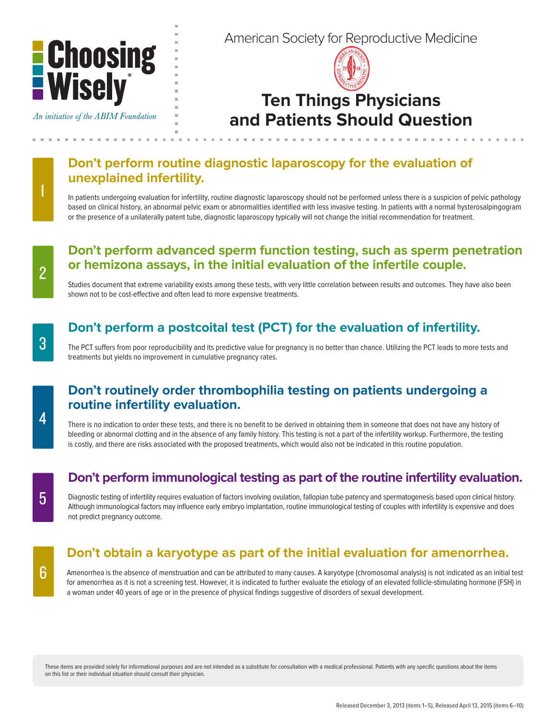

An initiative of the ABIM Foundation

American Society for Reproductive Medicine



# **Ten Things Physicians and Patients Should Question**

# **Don't perform routine diagnostic laparoscopy for the evaluation of unexplained infertility.**

In patients undergoing evaluation for infertility, routine diagnostic laparoscopy should not be performed unless there is a suspicion of pelvic pathology based on clinical history, an abnormal pelvic exam or abnormalities identified with less invasive testing. In patients with a normal hysterosalpingogram or the presence of a unilaterally patent tube, diagnostic laparoscopy typically will not change the initial recommendation for treatment.

# **Don't perform advanced sperm function testing, such as sperm penetration or hemizona assays, in the initial evaluation of the infertile couple.**

Studies document that extreme variability exists among these tests, with very little correlation between results and outcomes. They have also been shown not to be cost-effective and often lead to more expensive treatments.

# **Don't perform a postcoital test (PCT) for the evaluation of infertility.**

The PCT suffers from poor reproducibility and its predictive value for pregnancy is no better than chance. Utilizing the PCT leads to more tests and treatments but yields no improvement in cumulative pregnancy rates.

### **Don't routinely order thrombophilia testing on patients undergoing a routine infertility evaluation.**

There is no indication to order these tests, and there is no benefit to be derived in obtaining them in someone that does not have any history of bleeding or abnormal clotting and in the absence of any family history. This testing is not a part of the infertility workup. Furthermore, the testing is costly, and there are risks associated with the proposed treatments, which would also not be indicated in this routine population.

# **Don't perform immunological testing as part of the routine infertility evaluation.**

Diagnostic testing of infertility requires evaluation of factors involving ovulation, fallopian tube patency and spermatogenesis based upon clinical history. Although immunological factors may influence early embryo implantation, routine immunological testing of couples with infertility is expensive and does not predict pregnancy outcome.

# **Don't obtain a karyotype as part of the initial evaluation for amenorrhea.**

Amenorrhea is the absence of menstruation and can be attributed to many causes. A karyotype (chromosomal analysis) is not indicated as an initial test for amenorrhea as it is not a screening test. However, it is indicated to further evaluate the etiology of an elevated follicle-stimulating hormone (FSH) in a woman under 40 years of age or in the presence of physical findings suggestive of disorders of sexual development.

These items are provided solely for informational purposes and are not intended as a substitute for consultation with a medical professional. Patients with any specific questions about the items on this list or their individual situation should consult their physician.

2

1

4

6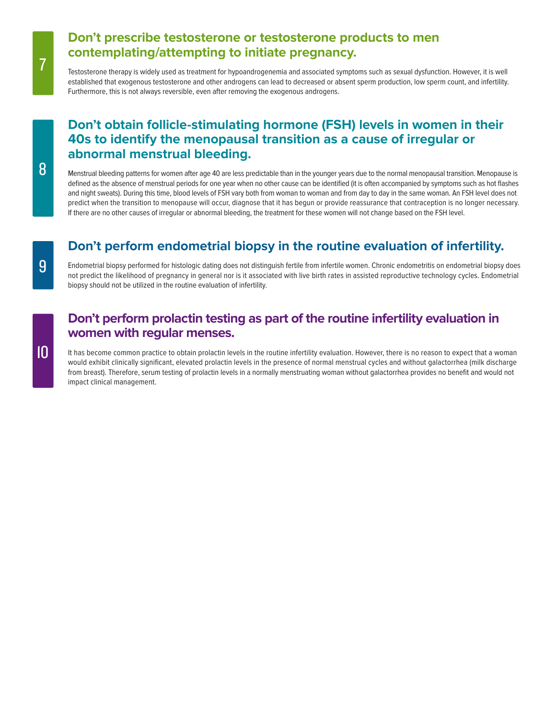#### **Don't prescribe testosterone or testosterone products to men contemplating/attempting to initiate pregnancy.**

Testosterone therapy is widely used as treatment for hypoandrogenemia and associated symptoms such as sexual dysfunction. However, it is well established that exogenous testosterone and other androgens can lead to decreased or absent sperm production, low sperm count, and infertility. Furthermore, this is not always reversible, even after removing the exogenous androgens.

# **Don't obtain follicle-stimulating hormone (FSH) levels in women in their 40s to identify the menopausal transition as a cause of irregular or abnormal menstrual bleeding.**

Menstrual bleeding patterns for women after age 40 are less predictable than in the younger years due to the normal menopausal transition. Menopause is defined as the absence of menstrual periods for one year when no other cause can be identified (it is often accompanied by symptoms such as hot flashes and night sweats). During this time, blood levels of FSH vary both from woman to woman and from day to day in the same woman. An FSH level does not predict when the transition to menopause will occur, diagnose that it has begun or provide reassurance that contraception is no longer necessary. If there are no other causes of irregular or abnormal bleeding, the treatment for these women will not change based on the FSH level.

# **Don't perform endometrial biopsy in the routine evaluation of infertility.**

Endometrial biopsy performed for histologic dating does not distinguish fertile from infertile women. Chronic endometritis on endometrial biopsy does not predict the likelihood of pregnancy in general nor is it associated with live birth rates in assisted reproductive technology cycles. Endometrial biopsy should not be utilized in the routine evaluation of infertility.

# **Don't perform prolactin testing as part of the routine infertility evaluation in women with regular menses.**

It has become common practice to obtain prolactin levels in the routine infertility evaluation. However, there is no reason to expect that a woman would exhibit clinically significant, elevated prolactin levels in the presence of normal menstrual cycles and without galactorrhea (milk discharge from breast). Therefore, serum testing of prolactin levels in a normally menstruating woman without galactorrhea provides no benefit and would not impact clinical management.

7

10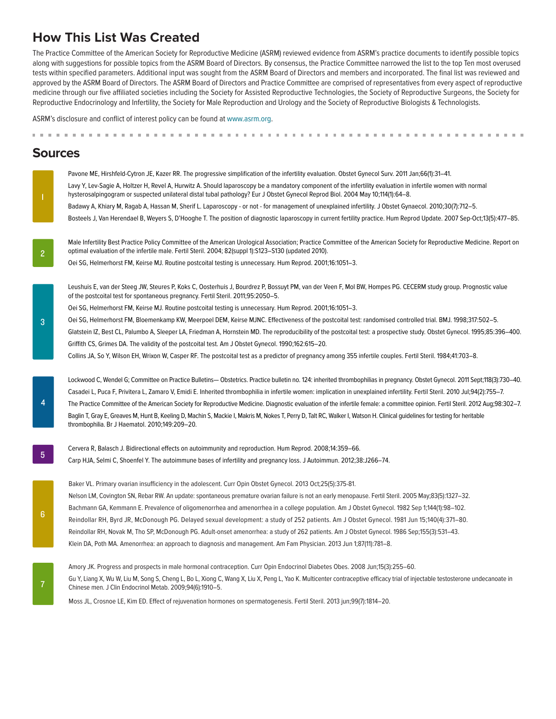# **How This List Was Created**

The Practice Committee of the American Society for Reproductive Medicine (ASRM) reviewed evidence from ASRM's practice documents to identify possible topics along with suggestions for possible topics from the ASRM Board of Directors. By consensus, the Practice Committee narrowed the list to the top Ten most overused tests within specified parameters. Additional input was sought from the ASRM Board of Directors and members and incorporated. The final list was reviewed and approved by the ASRM Board of Directors. The ASRM Board of Directors and Practice Committee are comprised of representatives from every aspect of reproductive medicine through our five affiliated societies including the Society for Assisted Reproductive Technologies, the Society of Reproductive Surgeons, the Society for Reproductive Endocrinology and Infertility, the Society for Male Reproduction and Urology and the Society of Reproductive Biologists & Technologists.

ASRM's disclosure and conflict of interest policy can be found at www.asrm.org.

#### **Sources**

1

2

Pavone ME, Hirshfeld-Cytron JE, Kazer RR. The progressive simplification of the infertility evaluation. Obstet Gynecol Surv. 2011 Jan;66(1):31–41. Lavy Y, Lev-Sagie A, Holtzer H, Revel A, Hurwitz A. Should laparoscopy be a mandatory component of the infertility evaluation in infertile women with normal hysterosalpingogram or suspected unilateral distal tubal pathology? Eur J Obstet Gynecol Reprod Biol. 2004 May 10;114(1):64–8.

Badawy A, Khiary M, Ragab A, Hassan M, Sherif L. Laparoscopy - or not - for management of unexplained infertility. J Obstet Gynaecol. 2010;30(7):712–5. Bosteels J, Van Herendael B, Weyers S, D'Hooghe T. The position of diagnostic laparoscopy in current fertility practice. Hum Reprod Update. 2007 Sep-Oct;13(5):477–85.

- Male Infertility Best Practice Policy Committee of the American Urological Association; Practice Committee of the American Society for Reproductive Medicine. Report on optimal evaluation of the infertile male. Fertil Steril. 2004; 82(suppl 1):S123–S130 (updated 2010).
- Oei SG, Helmerhorst FM, Keirse MJ. Routine postcoital testing is unnecessary. Hum Reprod. 2001;16:1051–3.

Leushuis E, van der Steeg JW, Steures P, Koks C, Oosterhuis J, Bourdrez P, Bossuyt PM, van der Veen F, Mol BW, Hompes PG. CECERM study group. Prognostic value of the postcoital test for spontaneous pregnancy. Fertil Steril. 2011;95:2050–5.

Oei SG, Helmerhorst FM, Keirse MJ. Routine postcoital testing is unnecessary. Hum Reprod. 2001;16:1051–3.

Oei SG, Helmerhorst FM, Bloemenkamp KW, Meerpoel DEM, Keirse MJNC. Effectiveness of the postcoital test: randomised controlled trial. BMJ. 1998;317:502–5. Glatstein IZ, Best CL, Palumbo A, Sleeper LA, Friedman A, Hornstein MD. The reproducibility of the postcoital test: a prospective study. Obstet Gynecol. 1995;85:396–400. Griffith CS, Grimes DA. The validity of the postcoital test. Am J Obstet Gynecol. 1990;162:615–20.

Collins JA, So Y, Wilson EH, Wrixon W, Casper RF. The postcoital test as a predictor of pregnancy among 355 infertile couples. Fertil Steril. 1984;41:703–8.

Lockwood C, Wendel G; Committee on Practice Bulletins— Obstetrics. Practice bulletin no. 124: inherited thrombophilias in pregnancy. Obstet Gynecol. 2011 Sept;118(3):730–40. Casadei L, Puca F, Privitera L, Zamaro V, Emidi E. Inherited thrombophilia in infertile women: implication in unexplained infertility. Fertil Steril. 2010 Jul;94(2):755–7. The Practice Committee of the American Society for Reproductive Medicine. Diagnostic evaluation of the infertile female: a committee opinion. Fertil Steril. 2012 Aug;98:302–7. Baglin T, Gray E, Greaves M, Hunt B, Keeling D, Machin S, Mackie I, Makris M, Nokes T, Perry D, Talt RC, Walker I, Watson H. Clinical guidelines for testing for heritable thrombophilia. Br J Haematol. 2010;149:209–20.

Cervera R, Balasch J. Bidirectional effects on autoimmunity and reproduction. Hum Reprod. 2008;14:359–66. Carp HJA, Selmi C, Shoenfel Y. The autoimmune bases of infertility and pregnancy loss. J Autoimmun. 2012;38:J266–74.

Baker VL. Primary ovarian insufficiency in the adolescent. Curr Opin Obstet Gynecol. 2013 Oct;25(5):375-81. Nelson LM, Covington SN, Rebar RW. An update: spontaneous premature ovarian failure is not an early menopause. Fertil Steril. 2005 May;83(5):1327–32. Bachmann GA, Kemmann E. Prevalence of oligomenorrhea and amenorrhea in a college population. Am J Obstet Gynecol. 1982 Sep 1;144(1):98–102. Reindollar RH, Byrd JR, McDonough PG. Delayed sexual development: a study of 252 patients. Am J Obstet Gynecol. 1981 Jun 15;140(4):371–80. Reindollar RH, Novak M, Tho SP, McDonough PG. Adult-onset amenorrhea: a study of 262 patients. Am J Obstet Gynecol. 1986 Sep;155(3):531–43. Klein DA, Poth MA. Amenorrhea: an approach to diagnosis and management. Am Fam Physician. 2013 Jun 1;87(11):781–8.

Amory JK. Progress and prospects in male hormonal contraception. Curr Opin Endocrinol Diabetes Obes. 2008 Jun;15(3):255–60. Gu Y, Liang X, Wu W, Liu M, Song S, Cheng L, Bo L, Xiong C, Wang X, Liu X, Peng L, Yao K. Multicenter contraceptive efficacy trial of injectable testosterone undecanoate in Chinese men. J Clin Endocrinol Metab. 2009;94(6):1910–5.

Moss JL, Crosnoe LE, Kim ED. Effect of rejuvenation hormones on spermatogenesis. Fertil Steril. 2013 jun;99(7):1814–20.

4

5

7

3